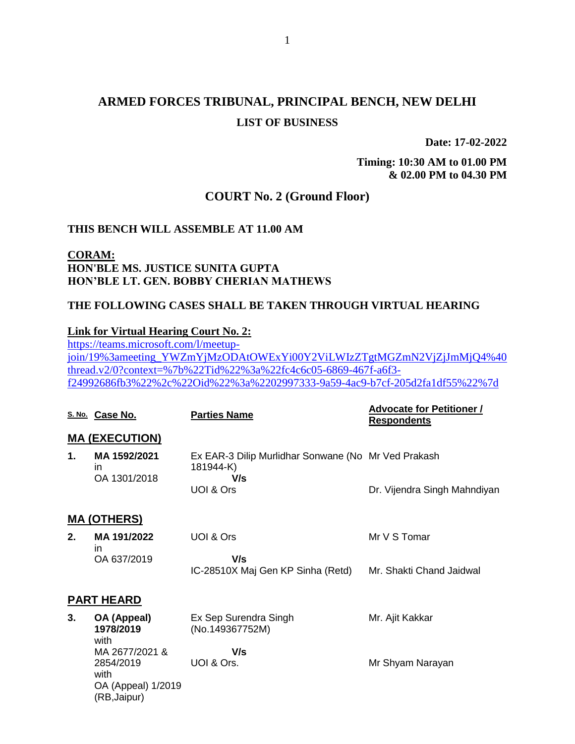# **ARMED FORCES TRIBUNAL, PRINCIPAL BENCH, NEW DELHI LIST OF BUSINESS**

**Date: 17-02-2022**

**Timing: 10:30 AM to 01.00 PM & 02.00 PM to 04.30 PM**

# **COURT No. 2 (Ground Floor)**

## **THIS BENCH WILL ASSEMBLE AT 11.00 AM**

# **CORAM: HON'BLE MS. JUSTICE SUNITA GUPTA HON'BLE LT. GEN. BOBBY CHERIAN MATHEWS**

# **THE FOLLOWING CASES SHALL BE TAKEN THROUGH VIRTUAL HEARING**

### **Link for Virtual Hearing Court No. 2:**

[https://teams.microsoft.com/l/meetup](https://teams.microsoft.com/l/meetup-join/19%3ameeting_YWZmYjMzODAtOWExYi00Y2ViLWIzZTgtMGZmN2VjZjJmMjQ4%40thread.v2/0?context=%7b%22Tid%22%3a%22fc4c6c05-6869-467f-a6f3-f24992686fb3%22%2c%22Oid%22%3a%2202997333-9a59-4ac9-b7cf-205d2fa1df55%22%7d)[join/19%3ameeting\\_YWZmYjMzODAtOWExYi00Y2ViLWIzZTgtMGZmN2VjZjJmMjQ4%40](https://teams.microsoft.com/l/meetup-join/19%3ameeting_YWZmYjMzODAtOWExYi00Y2ViLWIzZTgtMGZmN2VjZjJmMjQ4%40thread.v2/0?context=%7b%22Tid%22%3a%22fc4c6c05-6869-467f-a6f3-f24992686fb3%22%2c%22Oid%22%3a%2202997333-9a59-4ac9-b7cf-205d2fa1df55%22%7d) [thread.v2/0?context=%7b%22Tid%22%3a%22fc4c6c05-6869-467f-a6f3](https://teams.microsoft.com/l/meetup-join/19%3ameeting_YWZmYjMzODAtOWExYi00Y2ViLWIzZTgtMGZmN2VjZjJmMjQ4%40thread.v2/0?context=%7b%22Tid%22%3a%22fc4c6c05-6869-467f-a6f3-f24992686fb3%22%2c%22Oid%22%3a%2202997333-9a59-4ac9-b7cf-205d2fa1df55%22%7d) [f24992686fb3%22%2c%22Oid%22%3a%2202997333-9a59-4ac9-b7cf-205d2fa1df55%22%7d](https://teams.microsoft.com/l/meetup-join/19%3ameeting_YWZmYjMzODAtOWExYi00Y2ViLWIzZTgtMGZmN2VjZjJmMjQ4%40thread.v2/0?context=%7b%22Tid%22%3a%22fc4c6c05-6869-467f-a6f3-f24992686fb3%22%2c%22Oid%22%3a%2202997333-9a59-4ac9-b7cf-205d2fa1df55%22%7d)

|                    | S. No. Case No.                                                           | <b>Parties Name</b>                                                     | <b>Advocate for Petitioner /</b><br><b>Respondents</b> |
|--------------------|---------------------------------------------------------------------------|-------------------------------------------------------------------------|--------------------------------------------------------|
|                    | <b>MA (EXECUTION)</b>                                                     |                                                                         |                                                        |
| 1.                 | MA 1592/2021<br>in.<br>OA 1301/2018                                       | Ex EAR-3 Dilip Murlidhar Sonwane (No Mr Ved Prakash<br>181944-K)<br>V/s |                                                        |
|                    |                                                                           | UOI & Ors                                                               | Dr. Vijendra Singh Mahndiyan                           |
| <u>MA (OTHERS)</u> |                                                                           |                                                                         |                                                        |
| 2.                 | MA 191/2022<br>in.                                                        | UOI & Ors                                                               | Mr V S Tomar                                           |
|                    | OA 637/2019                                                               | V/s<br>IC-28510X Maj Gen KP Sinha (Retd)                                | Mr. Shakti Chand Jaidwal                               |
| <b>PART HEARD</b>  |                                                                           |                                                                         |                                                        |
| 3.                 | OA (Appeal)<br>1978/2019<br>with                                          | Ex Sep Surendra Singh<br>(No.149367752M)                                | Mr. Ajit Kakkar                                        |
|                    | MA 2677/2021 &<br>2854/2019<br>with<br>OA (Appeal) 1/2019<br>(RB, Jaipur) | V/s<br>UOI & Ors.                                                       | Mr Shyam Narayan                                       |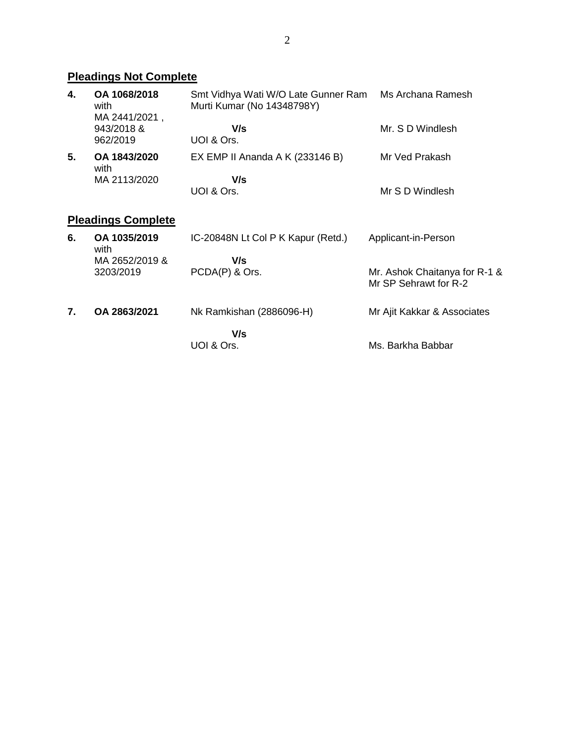# **Pleadings Not Complete**

| 4.                        | OA 1068/2018<br>with<br>MA 2441/2021, | Smt Vidhya Wati W/O Late Gunner Ram<br>Murti Kumar (No 14348798Y) | Ms Archana Ramesh                                      |
|---------------------------|---------------------------------------|-------------------------------------------------------------------|--------------------------------------------------------|
|                           | 943/2018 &<br>962/2019                | V/s<br>UOI & Ors.                                                 | Mr. S D Windlesh                                       |
| 5.                        | OA 1843/2020<br>with                  | EX EMP II Ananda A K (233146 B)                                   | Mr Ved Prakash                                         |
|                           | MA 2113/2020                          | V/s                                                               |                                                        |
|                           |                                       | UOI & Ors.                                                        | Mr S D Windlesh                                        |
| <b>Pleadings Complete</b> |                                       |                                                                   |                                                        |
| 6.                        | OA 1035/2019<br>with                  | IC-20848N Lt Col P K Kapur (Retd.)                                | Applicant-in-Person                                    |
|                           | MA 2652/2019 &                        | V/s                                                               |                                                        |
|                           | 3203/2019                             | PCDA(P) & Ors.                                                    | Mr. Ashok Chaitanya for R-1 &<br>Mr SP Sehrawt for R-2 |
| 7.                        | OA 2863/2021                          | Nk Ramkishan (2886096-H)                                          | Mr Ajit Kakkar & Associates                            |
|                           |                                       | V/s                                                               |                                                        |
|                           |                                       | UOI & Ors.                                                        | Ms. Barkha Babbar                                      |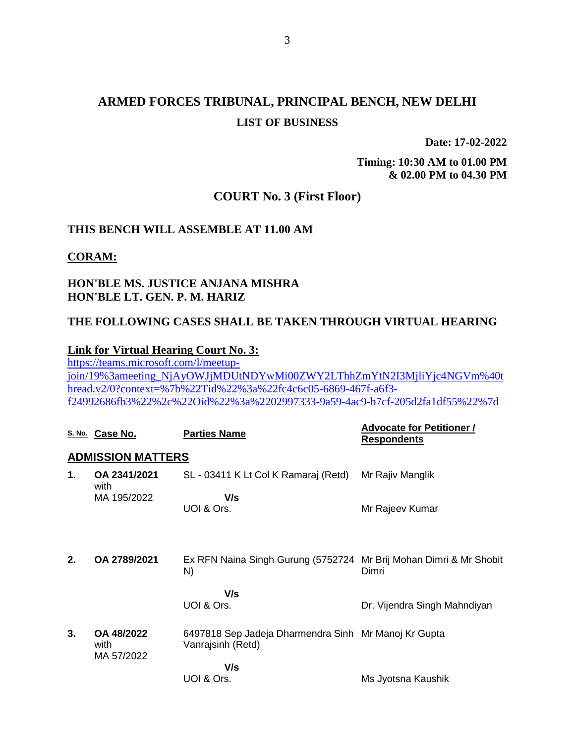# **ARMED FORCES TRIBUNAL, PRINCIPAL BENCH, NEW DELHI LIST OF BUSINESS**

**Date: 17-02-2022**

**Timing: 10:30 AM to 01.00 PM & 02.00 PM to 04.30 PM**

# **COURT No. 3 (First Floor)**

# **THIS BENCH WILL ASSEMBLE AT 11.00 AM**

**CORAM:**

# **HON'BLE MS. JUSTICE ANJANA MISHRA HON'BLE LT. GEN. P. M. HARIZ**

# **THE FOLLOWING CASES SHALL BE TAKEN THROUGH VIRTUAL HEARING**

### **Link for Virtual Hearing Court No. 3:**

[https://teams.microsoft.com/l/meetup](https://teams.microsoft.com/l/meetup-join/19%3ameeting_NjAyOWJjMDUtNDYwMi00ZWY2LThhZmYtN2I3MjliYjc4NGVm%40thread.v2/0?context=%7b%22Tid%22%3a%22fc4c6c05-6869-467f-a6f3-f24992686fb3%22%2c%22Oid%22%3a%2202997333-9a59-4ac9-b7cf-205d2fa1df55%22%7d)[join/19%3ameeting\\_NjAyOWJjMDUtNDYwMi00ZWY2LThhZmYtN2I3MjliYjc4NGVm%40t](https://teams.microsoft.com/l/meetup-join/19%3ameeting_NjAyOWJjMDUtNDYwMi00ZWY2LThhZmYtN2I3MjliYjc4NGVm%40thread.v2/0?context=%7b%22Tid%22%3a%22fc4c6c05-6869-467f-a6f3-f24992686fb3%22%2c%22Oid%22%3a%2202997333-9a59-4ac9-b7cf-205d2fa1df55%22%7d) [hread.v2/0?context=%7b%22Tid%22%3a%22fc4c6c05-6869-467f-a6f3](https://teams.microsoft.com/l/meetup-join/19%3ameeting_NjAyOWJjMDUtNDYwMi00ZWY2LThhZmYtN2I3MjliYjc4NGVm%40thread.v2/0?context=%7b%22Tid%22%3a%22fc4c6c05-6869-467f-a6f3-f24992686fb3%22%2c%22Oid%22%3a%2202997333-9a59-4ac9-b7cf-205d2fa1df55%22%7d) [f24992686fb3%22%2c%22Oid%22%3a%2202997333-9a59-4ac9-b7cf-205d2fa1df55%22%7d](https://teams.microsoft.com/l/meetup-join/19%3ameeting_NjAyOWJjMDUtNDYwMi00ZWY2LThhZmYtN2I3MjliYjc4NGVm%40thread.v2/0?context=%7b%22Tid%22%3a%22fc4c6c05-6869-467f-a6f3-f24992686fb3%22%2c%22Oid%22%3a%2202997333-9a59-4ac9-b7cf-205d2fa1df55%22%7d)

|                          | S. No. Case No.                  | <b>Parties Name</b>                                                       | <b>Advocate for Petitioner /</b><br><b>Respondents</b> |
|--------------------------|----------------------------------|---------------------------------------------------------------------------|--------------------------------------------------------|
| <b>ADMISSION MATTERS</b> |                                  |                                                                           |                                                        |
| 1.                       | OA 2341/2021<br>with             | SL - 03411 K Lt Col K Ramaraj (Retd)                                      | Mr Rajiv Manglik                                       |
|                          | MA 195/2022                      | V/s<br>UOI & Ors.                                                         | Mr Rajeev Kumar                                        |
| 2.                       | OA 2789/2021                     | Ex RFN Naina Singh Gurung (5752724 Mr Brij Mohan Dimri & Mr Shobit<br>N)  | Dimri                                                  |
|                          |                                  | V/s<br>UOI & Ors.                                                         | Dr. Vijendra Singh Mahndiyan                           |
| 3.                       | OA 48/2022<br>with<br>MA 57/2022 | 6497818 Sep Jadeja Dharmendra Sinh Mr Manoj Kr Gupta<br>Vanrajsinh (Retd) |                                                        |
|                          |                                  | V/s<br>UOI & Ors.                                                         | Ms Jyotsna Kaushik                                     |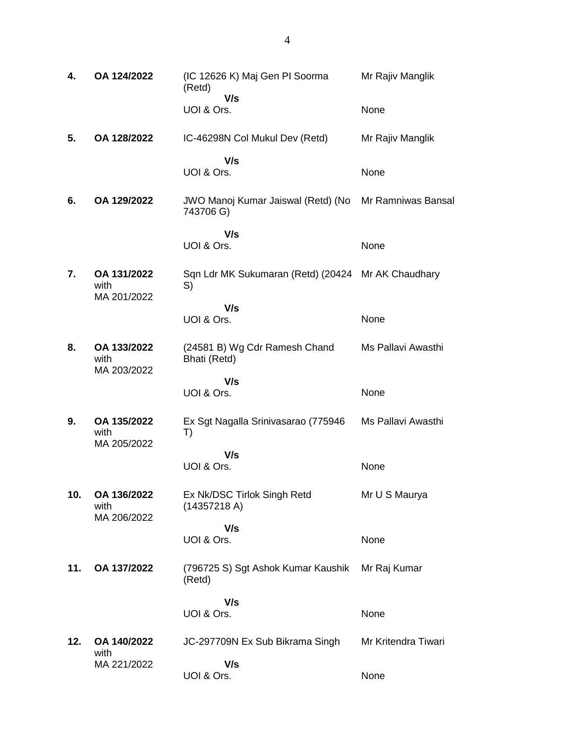| 4.  | OA 124/2022                        | (IC 12626 K) Maj Gen PI Soorma<br>(Retd)                 | Mr Rajiv Manglik    |
|-----|------------------------------------|----------------------------------------------------------|---------------------|
|     |                                    | V/s<br>UOI & Ors.                                        | None                |
| 5.  | OA 128/2022                        | IC-46298N Col Mukul Dev (Retd)                           | Mr Rajiv Manglik    |
|     |                                    | V/s<br>UOI & Ors.                                        | None                |
| 6.  | OA 129/2022                        | JWO Manoj Kumar Jaiswal (Retd) (No<br>743706 G)          | Mr Ramniwas Bansal  |
|     |                                    | V/s<br>UOI & Ors.                                        | None                |
| 7.  | OA 131/2022<br>with<br>MA 201/2022 | Sqn Ldr MK Sukumaran (Retd) (20424 Mr AK Chaudhary<br>S) |                     |
|     |                                    | V/s<br>UOI & Ors.                                        | None                |
| 8.  | OA 133/2022<br>with<br>MA 203/2022 | (24581 B) Wg Cdr Ramesh Chand<br>Bhati (Retd)            | Ms Pallavi Awasthi  |
|     |                                    | V/s<br>UOI & Ors.                                        | None                |
| 9.  | OA 135/2022<br>with<br>MA 205/2022 | Ex Sgt Nagalla Srinivasarao (775946<br>T)                | Ms Pallavi Awasthi  |
|     |                                    | V/s<br>UOI & Ors.                                        | None                |
| 10. | OA 136/2022<br>with                | Ex Nk/DSC Tirlok Singh Retd<br>(14357218 A)              | Mr U S Maurya       |
|     | MA 206/2022                        | V/s<br>UOI & Ors.                                        | None                |
| 11. | OA 137/2022                        | (796725 S) Sgt Ashok Kumar Kaushik<br>(Retd)             | Mr Raj Kumar        |
|     |                                    | V/s<br>UOI & Ors.                                        | None                |
| 12. | OA 140/2022                        | JC-297709N Ex Sub Bikrama Singh                          | Mr Kritendra Tiwari |
|     | with<br>MA 221/2022                | V/s<br>UOI & Ors.                                        | None                |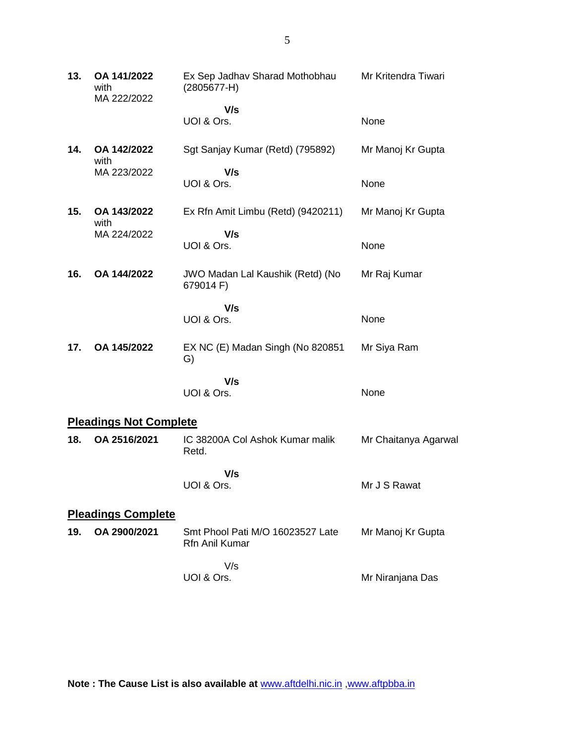| 13. | OA 141/2022<br>with<br>MA 222/2022 | Ex Sep Jadhav Sharad Mothobhau<br>$(2805677 - H)$  | Mr Kritendra Tiwari  |
|-----|------------------------------------|----------------------------------------------------|----------------------|
|     |                                    | V/s                                                |                      |
|     |                                    | UOI & Ors.                                         | None                 |
| 14. | OA 142/2022<br>with                | Sgt Sanjay Kumar (Retd) (795892)                   | Mr Manoj Kr Gupta    |
|     | MA 223/2022                        | V/s<br>UOI & Ors.                                  | None                 |
| 15. | OA 143/2022<br>with                | Ex Rfn Amit Limbu (Retd) (9420211)                 | Mr Manoj Kr Gupta    |
|     | MA 224/2022                        | V/s<br>UOI & Ors.                                  | None                 |
| 16. | OA 144/2022                        | JWO Madan Lal Kaushik (Retd) (No<br>679014 F)      | Mr Raj Kumar         |
|     |                                    | V/s<br>UOI & Ors.                                  | None                 |
| 17. | OA 145/2022                        | EX NC (E) Madan Singh (No 820851<br>G)             | Mr Siya Ram          |
|     |                                    | V/s<br>UOI & Ors.                                  | None                 |
|     | <b>Pleadings Not Complete</b>      |                                                    |                      |
| 18. | OA 2516/2021                       | IC 38200A Col Ashok Kumar malik<br>Retd.           | Mr Chaitanya Agarwal |
|     |                                    | V/s<br>UOI & Ors.                                  | Mr J S Rawat         |
|     | <b>Pleadings Complete</b>          |                                                    |                      |
| 19. | OA 2900/2021                       | Smt Phool Pati M/O 16023527 Late<br>Rfn Anil Kumar | Mr Manoj Kr Gupta    |
|     |                                    | V/s<br>UOI & Ors.                                  | Mr Niranjana Das     |

**Note : The Cause List is also available at** [www.aftdelhi.nic.in](http://www.aftdelhi.nic.in/index.php?option=com_content&view=article&id=14&Itemid=67) [,www.aftpbba.in](http://www.aftpbba.in/)